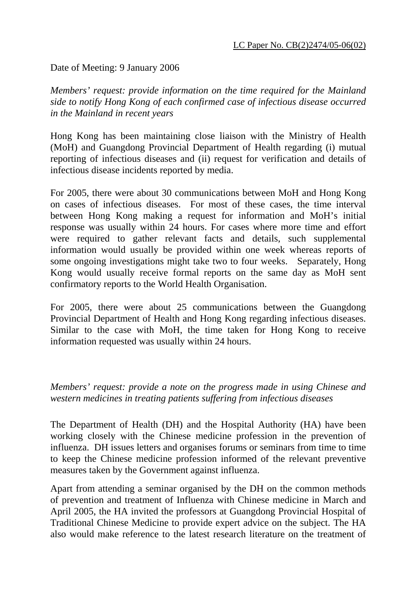Date of Meeting: 9 January 2006

*Members' request: provide information on the time required for the Mainland side to notify Hong Kong of each confirmed case of infectious disease occurred in the Mainland in recent years* 

Hong Kong has been maintaining close liaison with the Ministry of Health (MoH) and Guangdong Provincial Department of Health regarding (i) mutual reporting of infectious diseases and (ii) request for verification and details of infectious disease incidents reported by media.

For 2005, there were about 30 communications between MoH and Hong Kong on cases of infectious diseases. For most of these cases, the time interval between Hong Kong making a request for information and MoH's initial response was usually within 24 hours. For cases where more time and effort were required to gather relevant facts and details, such supplemental information would usually be provided within one week whereas reports of some ongoing investigations might take two to four weeks. Separately, Hong Kong would usually receive formal reports on the same day as MoH sent confirmatory reports to the World Health Organisation.

For 2005, there were about 25 communications between the Guangdong Provincial Department of Health and Hong Kong regarding infectious diseases. Similar to the case with MoH, the time taken for Hong Kong to receive information requested was usually within 24 hours.

*Members' request: provide a note on the progress made in using Chinese and western medicines in treating patients suffering from infectious diseases* 

The Department of Health (DH) and the Hospital Authority (HA) have been working closely with the Chinese medicine profession in the prevention of influenza. DH issues letters and organises forums or seminars from time to time to keep the Chinese medicine profession informed of the relevant preventive measures taken by the Government against influenza.

Apart from attending a seminar organised by the DH on the common methods of prevention and treatment of Influenza with Chinese medicine in March and April 2005, the HA invited the professors at Guangdong Provincial Hospital of Traditional Chinese Medicine to provide expert advice on the subject. The HA also would make reference to the latest research literature on the treatment of